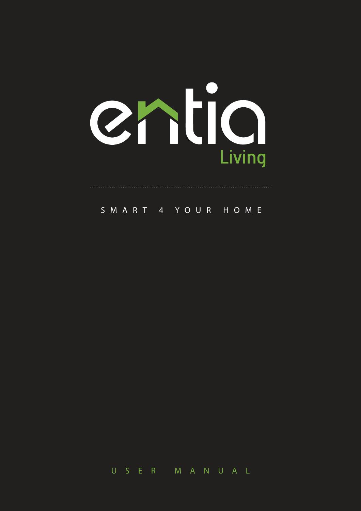

SMART 4 YOU R HO M E

U SER MAN U A L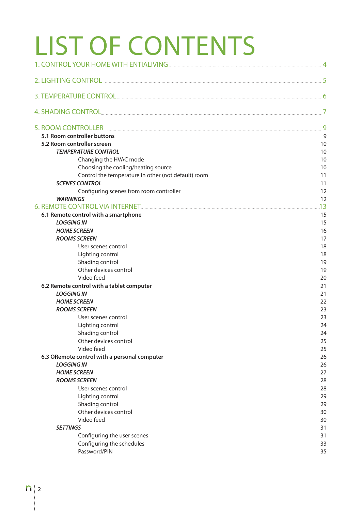# LIST OF CONTENTS

| 5.1 Room controller buttons                                    | 9        |
|----------------------------------------------------------------|----------|
| 5.2 Room controller screen                                     | 10       |
| <b>TEMPERATURE CONTROL</b>                                     | 10       |
| Changing the HVAC mode                                         | 10       |
| Choosing the cooling/heating source                            | 10       |
| Control the temperature in other (not default) room            | 11       |
| <b>SCENES CONTROL</b>                                          | 11       |
| Configuring scenes from room controller                        | 12       |
| <b>WARNINGS</b>                                                | 12       |
|                                                                | .13      |
| 6.1 Remote control with a smartphone                           | 15       |
| <b>LOGGING IN</b>                                              | 15       |
| <b>HOME SCREEN</b>                                             | 16       |
| <b>ROOMS SCREEN</b>                                            | 17       |
| User scenes control                                            | 18       |
| Lighting control                                               | 18       |
| Shading control                                                | 19       |
| Other devices control                                          | 19       |
| Video feed                                                     | 20       |
| 6.2 Remote control with a tablet computer<br><b>LOGGING IN</b> | 21<br>21 |
| <b>HOME SCREEN</b>                                             | 22       |
| <b>ROOMS SCREEN</b>                                            | 23       |
| User scenes control                                            | 23       |
| Lighting control                                               | 24       |
| Shading control                                                | 24       |
| Other devices control                                          | 25       |
| Video feed                                                     | 25       |
| 6.3 ORemote control with a personal computer                   | 26       |
| <b>LOGGING IN</b>                                              | 26       |
| <b>HOME SCREEN</b>                                             | 27       |
| <b>ROOMS SCREEN</b>                                            | 28       |
| User scenes control                                            | 28       |
| Lighting control                                               | 29       |
| Shading control                                                | 29       |
| Other devices control                                          | 30       |
| Video feed                                                     | 30       |
| <b>SETTINGS</b>                                                | 31       |
| Configuring the user scenes                                    | 31       |
| Configuring the schedules                                      | 33       |
| Password/PIN                                                   | 35       |
|                                                                |          |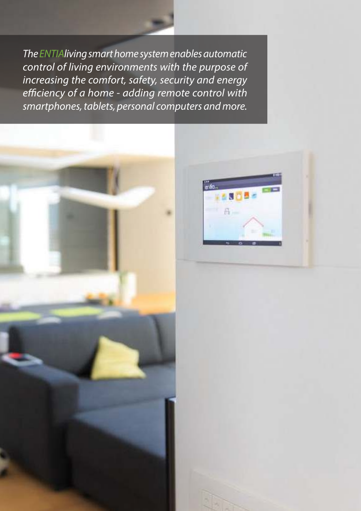*The ENTIAliving smart home system enables automatic control of living environments with the purpose of increasing the comfort, safety, security and energy e*ffi*ciency of a home - adding remote control with smartphones, tablets, personal computers and more.*



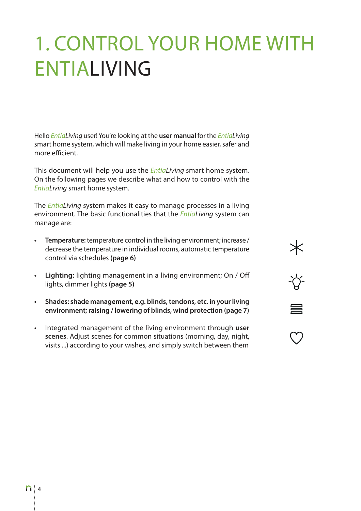# 1. CONTROL YOUR HOME WITH ENTIALIVING

Hello *EntiaLiving* user! You're looking at the **user manual** for the *EntiaLiving* smart home system, which will make living in your home easier, safer and more efficient.

This document will help you use the *EntiaLiving* smart home system. On the following pages we describe what and how to control with the *EntiaLiving* smart home system.

The *EntiaLiving* system makes it easy to manage processes in a living environment. The basic functionalities that the *EntiaLiving* system can manage are:

- **t Temperature:** temperature control in the living environment; increase / decrease the temperature in individual rooms, automatic temperature control via schedules **(page 6)**
- **t Lighting:** lighting management in a living environment; On / Off lights, dimmer lights **(page 5)**

 $-\sum_{i=1}^{n}$ 

 $\bigcirc$ 

- **t Shades: shade management, e.g. blinds, tendons, etc. in your living environment; raising / lowering of blinds, wind protection (page 7)**
- **fight** Integrated management of the living environment through user **scenes**. Adjust scenes for common situations (morning, day, night, visits ...) according to your wishes, and simply switch between them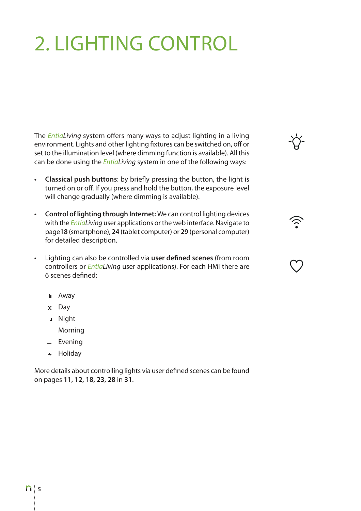# 2. LIGHTING CONTROL

The *EntiaLiving* system offers many ways to adjust lighting in a living environment. Lights and other lighting fixtures can be switched on, off or set to the illumination level (where dimming function is available). All this can be done using the *EntiaLiving* system in one of the following ways:

-Ò-

- **t Classical push buttons**: by briefly pressing the button, the light is turned on or off. If you press and hold the button, the exposure level will change gradually (where dimming is available).
- **t Control of lighting through Internet:** We can control lighting devices with the *EntiaLiving* user applications or the web interface. Navigate to page**18** (smartphone), **24** (tablet computer) or **29** (personal computer) for detailed description.
- **the Lighting can also be controlled via user defined scenes** (from room controllers or *EntiaLiving* user applications). For each HMI there are 6 scenes defined:
	- **Away**
	- $\times$  Day
	- Night

Morning

- $=$  Evening
- + Holiday

More details about controlling lights via user defined scenes can be found on pages **11, 12, 18, 23, 28** in **31**.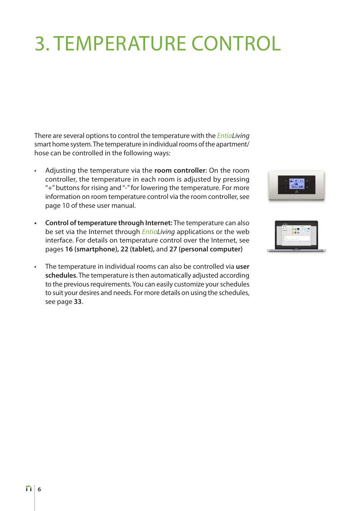# 3. TEMPERATURE CONTROL

There are several options to control the temperature with the *EntiaLiving* smart home system. The temperature in individual rooms of the apartment/ hose can be controlled in the following ways:

- t Adjusting the temperature via the **room controller**: On the room controller, the temperature in each room is adjusted by pressing "+" buttons for rising and "-" for lowering the temperature. For more information on room temperature control via the room controller, see page 10 of these user manual.
- **t Control of temperature through Internet:** The temperature can also be set via the Internet through *EntiaLiving* applications or the web interface. For details on temperature control over the Internet, see pages **16 (smartphone), 22 (tablet),** and **27 (personal computer)**
- t The temperature in individual rooms can also be controlled via **user schedules**. The temperature is then automatically adjusted according to the previous requirements. You can easily customize your schedules to suit your desires and needs. For more details on using the schedules, see page **33**.



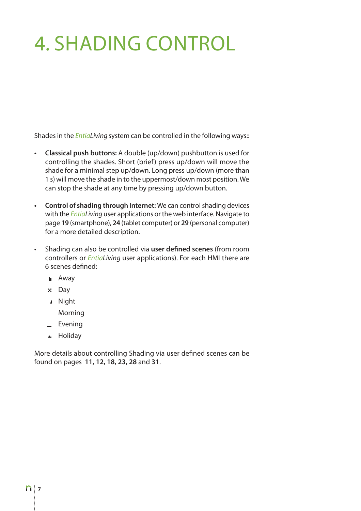# 4. SHADING CONTROL

Shades in the *EntiaLiving* system can be controlled in the following ways::

- **t Classical push buttons:** A double (up/down) pushbutton is used for controlling the shades. Short (brief) press up/down will move the shade for a minimal step up/down. Long press up/down (more than 1 s) will move the shade in to the uppermost/down most position. We can stop the shade at any time by pressing up/down button.
- **t Control of shading through Internet:** We can control shading devices with the *EntiaLiving* user applications or the web interface. Navigate to page **19** (smartphone), **24** (tablet computer) or **29** (personal computer) for a more detailed description.
- **EXECT** Shading can also be controlled via **user defined scenes** (from room controllers or *EntiaLiving* user applications). For each HMI there are 6 scenes defined:
	- **Away**
	- $\times$  Day
	- Night

Morning

- $=$  Evening
- + Holidav

More details about controlling Shading via user defined scenes can be found on pages **11, 12, 18, 23, 28** and **31**.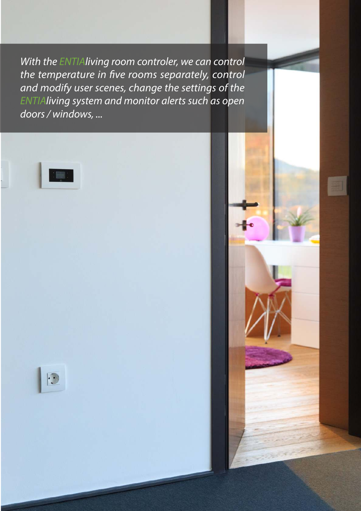*With the ENTIAliving room controler, we can control the temperature in* fi*ve rooms separately, control and modify user scenes, change the settings of the ENTIAliving system and monitor alerts such as open doors / windows, ...*



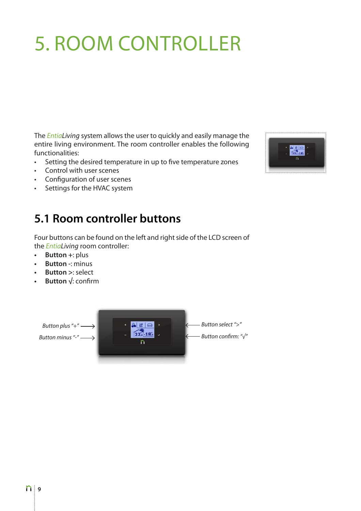# 5. ROOM CONTROLLER

The *EntiaLiving* system allows the user to quickly and easily manage the entire living environment. The room controller enables the following functionalities:

- Setting the desired temperature in up to five temperature zones
- Control with user scenes
- Configuration of user scenes
- Settings for the HVAC system

## **5.1 Room controller buttons**

Four buttons can be found on the left and right side of the LCD screen of the *EntiaLiving* room controller:

- **t Button +**: plus
- **t Button -**: minus
- **t Button >**: select
- **t Button √**: confirm



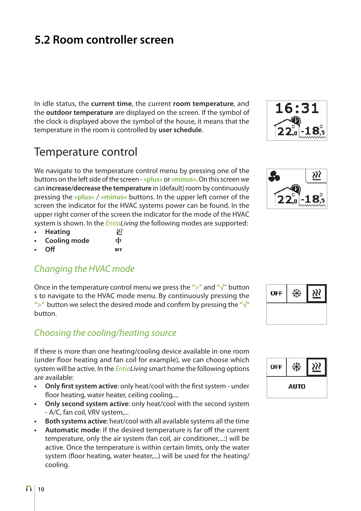# **5.2 Room controller screen**

In idle status, the **current time**, the current **room temperature**, and the **outdoor temperature** are displayed on the screen. If the symbol of the clock is displayed above the symbol of the house, it means that the temperature in the room is controlled by **user schedule**.

## Temperature control

We navigate to the temperature control menu by pressing one of the buttons on the left side of the screen - **»plus«** or **»minus«**. On this screen we can **increase/decrease the temperature** in (default) room by continuously pressing the **»plus«** / **»minus«** buttons. In the upper left corner of the screen the indicator for the HVAC systems power can be found. In the upper right corner of the screen the indicator for the mode of the HVAC system is shown. In the *EntiaLiving* the following modes are supported:

99

- **t Heating**
- **t Cooling mode** t | 1
- **t Off**  $\overline{a}$

#### *Changing the HVAC mode*

Once in the temperature control menu we press the **">"** and **"√"** button s to navigate to the HVAC mode menu. By continuously pressing the **">"** button we select the desired mode and confirm by pressing the **"√"**  button.

#### *Choosing the cooling/heating source*

If there is more than one heating/cooling device available in one room (under floor heating and fan coil for example), we can choose which system will be active. In the *EntiaLiving* smart home the following options are available:

- **Only first system active:** only heat/cool with the first system under floor heating, water heater, ceiling cooling,...
- **Only second system active:** only heat/cool with the second system - A/C, fan coil, VRV system,...
- **t Both systems active**: heat/cool with all available systems all the time
- **t Automatic mode**: If the desired temperature is far off the current temperature, only the air system (fan coil, air conditioner,...:) will be active. Once the temperature is within certain limits, only the water system (floor heating, water heater,...) will be used for the heating/ cooling.





| OFF |  |
|-----|--|
|     |  |
|     |  |

| OFF |      |  |
|-----|------|--|
|     | AUTO |  |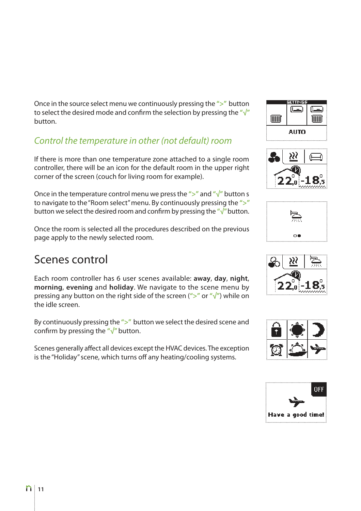Once in the source select menu we continuously pressing the **">"** button to select the desired mode and confirm the selection by pressing the **"√"**  button.

## *Control the temperature in other (not default) room*

If there is more than one temperature zone attached to a single room controller, there will be an icon for the default room in the upper right corner of the screen (couch for living room for example).

Once in the temperature control menu we press the **">"** and **"√"** button s to navigate to the "Room select" menu. By continuously pressing the **">"**  button we select the desired room and confirm by pressing the **"√"** button.

Once the room is selected all the procedures described on the previous page apply to the newly selected room.

## Scenes control

Each room controller has 6 user scenes available: **away**, **day**, **night**, **morning**, **evening** and **holiday**. We navigate to the scene menu by pressing any button on the right side of the screen (**">"** or **"√"**) while on the idle screen.

By continuously pressing the **">"** button we select the desired scene and confirm by pressing the **"√"** button.

Scenes generally affect all devices except the HVAC devices. The exception is the "Holiday" scene, which turns off any heating/cooling systems.











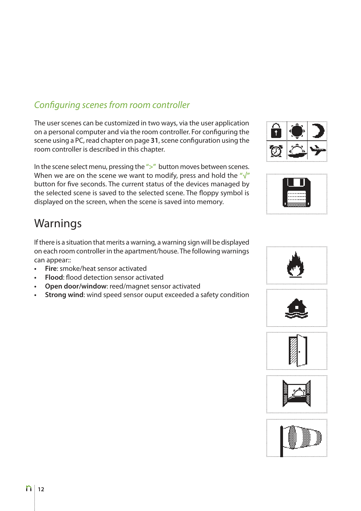### *Con*fi*guring scenes from room controller*

The user scenes can be customized in two ways, via the user application on a personal computer and via the room controller. For configuring the scene using a PC, read chapter on page **31**, scene configuration using the room controller is described in this chapter.

In the scene select menu, pressing the **">"** button moves between scenes. When we are on the scene we want to modify, press and hold the **"√"**  button for five seconds. The current status of the devices managed by the selected scene is saved to the selected scene. The floppy symbol is displayed on the screen, when the scene is saved into memory.

## Warnings

If there is a situation that merits a warning, a warning sign will be displayed on each room controller in the apartment/house. The following warnings can appear::

- **Fire**: smoke/heat sensor activated
- **t Flood**: flood detection sensor activated
- **Open door/window: reed/magnet sensor activated**
- **Strong wind:** wind speed sensor ouput exceeded a safety condition









. . . . . . . . . . . . . . . .





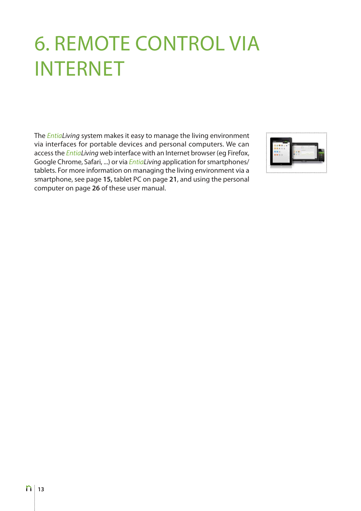# 6. REMOTE CONTROL VIA INTERNET

The *EntiaLiving* system makes it easy to manage the living environment via interfaces for portable devices and personal computers. We can access the *EntiaLiving* web interface with an Internet browser (eg Firefox, Google Chrome, Safari, ...) or via *EntiaLiving* application for smartphones/ tablets. For more information on managing the living environment via a smartphone, see page **15,** tablet PC on page **21**, and using the personal computer on page **26** of these user manual.

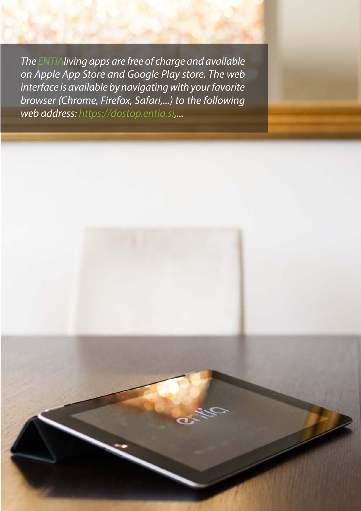*The ENTIAliving apps are free of charge and available on Apple App Store and Google Play store. The web interface is available by navigating with your favorite browser (Chrome, Firefox, Safari,...) to the following web address: https://dostop.entia.si,...*

**14**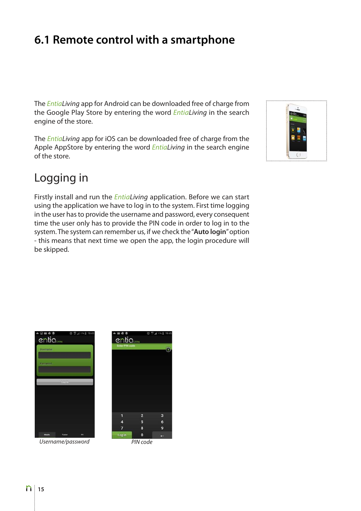# **6.1 Remote control with a smartphone**

The *EntiaLiving* app for Android can be downloaded free of charge from the Google Play Store by entering the word *EntiaLiving* in the search engine of the store.

The *EntiaLiving* app for iOS can be downloaded free of charge from the Apple AppStore by entering the word *EntiaLiving* in the search engine of the store.

# Logging in

Firstly install and run the *EntiaLiving* application. Before we can start using the application we have to log in to the system. First time logging in the user has to provide the username and password, every consequent time the user only has to provide the PIN code in order to log in to the system. The system can remember us, if we check the "**Auto login**" option - this means that next time we open the app, the login procedure will be skipped.





*Username/password PIN code*

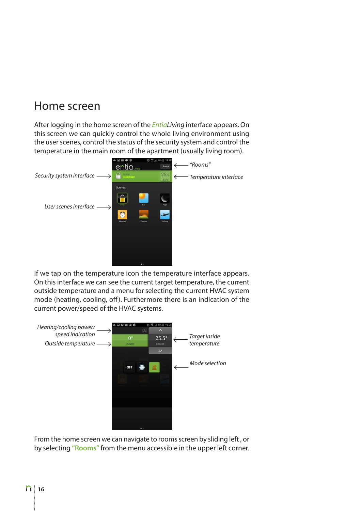## Home screen

After logging in the home screen of the *EntiaLiving* interface appears. On this screen we can quickly control the whole living environment using the user scenes, control the status of the security system and control the temperature in the main room of the apartment (usually living room).



If we tap on the temperature icon the temperature interface appears. On this interface we can see the current target temperature, the current outside temperature and a menu for selecting the current HVAC system mode (heating, cooling, off). Furthermore there is an indication of the current power/speed of the HVAC systems.



From the home screen we can navigate to rooms screen by sliding left , or by selecting **"Rooms"** from the menu accessible in the upper left corner.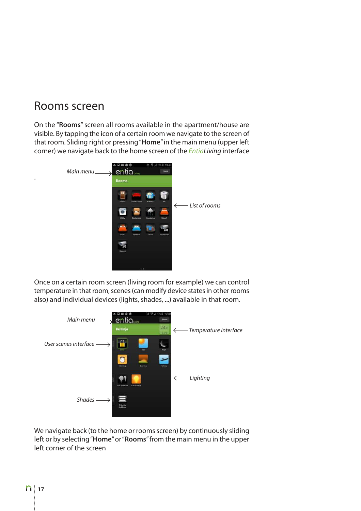## Rooms screen

.

On the "**Rooms**" screen all rooms available in the apartment/house are visible. By tapping the icon of a certain room we navigate to the screen of that room. Sliding right or pressing "**Home**" in the main menu (upper left corner) we navigate back to the home screen of the *EntiaLiving* interface



Once on a certain room screen (living room for example) we can control temperature in that room, scenes (can modify device states in other rooms also) and individual devices (lights, shades, ...) available in that room.



We navigate back (to the home or rooms screen) by continuously sliding left or by selecting "**Home**" or "**Rooms**" from the main menu in the upper left corner of the screen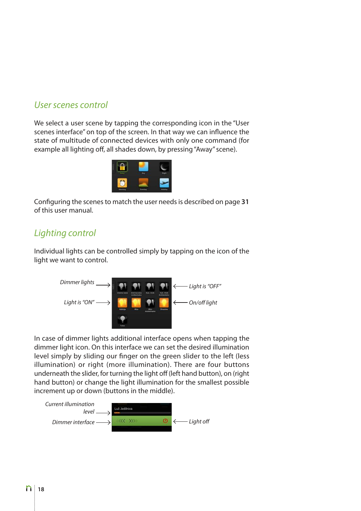#### *User scenes control*

We select a user scene by tapping the corresponding icon in the "User scenes interface" on top of the screen. In that way we can influence the state of multitude of connected devices with only one command (for example all lighting off, all shades down, by pressing "Away" scene).



Configuring the scenes to match the user needs is described on page **31** of this user manual.

### *Lighting control*

Individual lights can be controlled simply by tapping on the icon of the light we want to control.



In case of dimmer lights additional interface opens when tapping the dimmer light icon. On this interface we can set the desired illumination level simply by sliding our finger on the green slider to the left (less illumination) or right (more illumination). There are four buttons underneath the slider, for turning the light off (left hand button), on (right hand button) or change the light illumination for the smallest possible increment up or down (buttons in the middle).

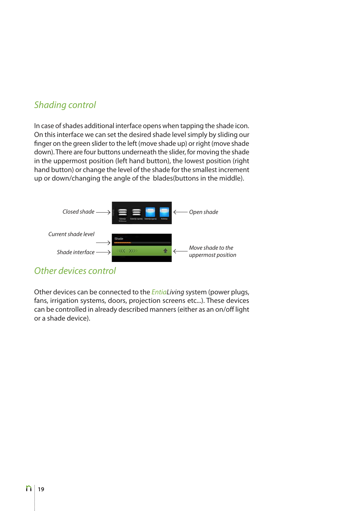### *Shading control*

In case of shades additional interface opens when tapping the shade icon. On this interface we can set the desired shade level simply by sliding our finger on the green slider to the left (move shade up) or right (move shade down). There are four buttons underneath the slider, for moving the shade in the uppermost position (left hand button), the lowest position (right hand button) or change the level of the shade for the smallest increment up or down/changing the angle of the blades(buttons in the middle).



#### *Other devices control*

Other devices can be connected to the *EntiaLiving* system (power plugs, fans, irrigation systems, doors, projection screens etc...). These devices can be controlled in already described manners (either as an on/off light or a shade device).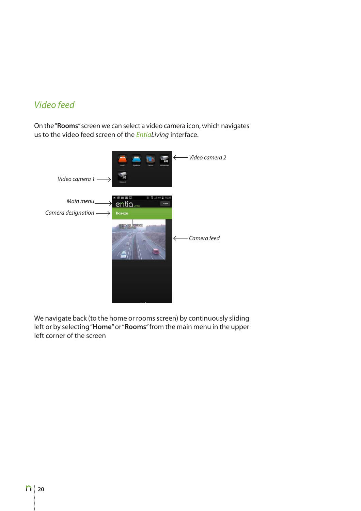### *Video feed*

On the "**Rooms**" screen we can select a video camera icon, which navigates us to the video feed screen of the *EntiaLiving* interface.



We navigate back (to the home or rooms screen) by continuously sliding left or by selecting "**Home**" or "**Rooms**" from the main menu in the upper left corner of the screen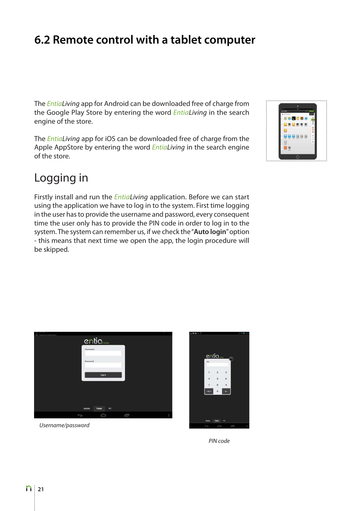# **6.2 Remote control with a tablet computer**

The *EntiaLiving* app for Android can be downloaded free of charge from the Google Play Store by entering the word *EntiaLiving* in the search engine of the store.

The *EntiaLiving* app for iOS can be downloaded free of charge from the Apple AppStore by entering the word *EntiaLiving* in the search engine of the store.

## Logging in

Firstly install and run the *EntiaLiving* application. Before we can start using the application we have to log in to the system. First time logging in the user has to provide the username and password, every consequent time the user only has to provide the PIN code in order to log in to the system. The system can remember us, if we check the "**Auto login**" option - this means that next time we open the app, the login procedure will be skipped.





*Username/password*



*PIN code*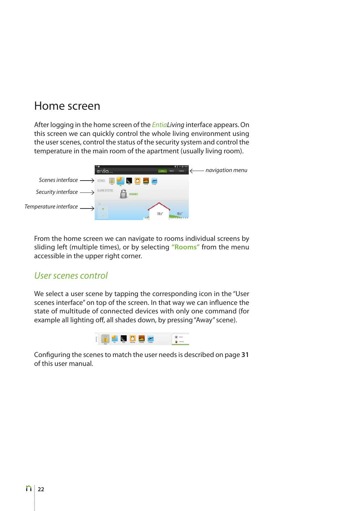## Home screen

After logging in the home screen of the *EntiaLiving* interface appears. On this screen we can quickly control the whole living environment using the user scenes, control the status of the security system and control the temperature in the main room of the apartment (usually living room).



From the home screen we can navigate to rooms individual screens by sliding left (multiple times), or by selecting **"Rooms"** from the menu accessible in the upper right corner.

#### *User scenes control*

We select a user scene by tapping the corresponding icon in the "User scenes interface" on top of the screen. In that way we can influence the state of multitude of connected devices with only one command (for example all lighting off, all shades down, by pressing "Away" scene).



Configuring the scenes to match the user needs is described on page **31** of this user manual.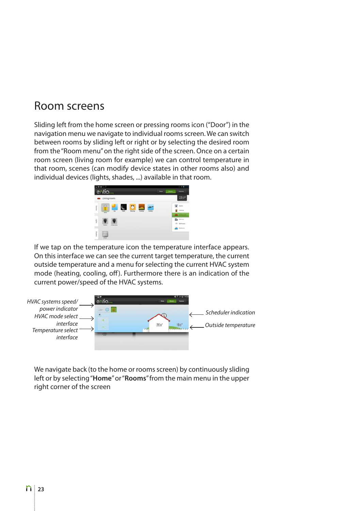## Room screens

Sliding left from the home screen or pressing rooms icon ("Door") in the navigation menu we navigate to individual rooms screen. We can switch between rooms by sliding left or right or by selecting the desired room from the "Room menu" on the right side of the screen. Once on a certain room screen (living room for example) we can control temperature in that room, scenes (can modify device states in other rooms also) and individual devices (lights, shades, ...) available in that room.



If we tap on the temperature icon the temperature interface appears. On this interface we can see the current target temperature, the current outside temperature and a menu for selecting the current HVAC system mode (heating, cooling, off). Furthermore there is an indication of the current power/speed of the HVAC systems.



We navigate back (to the home or rooms screen) by continuously sliding left or by selecting "**Home**" or "**Rooms**" from the main menu in the upper right corner of the screen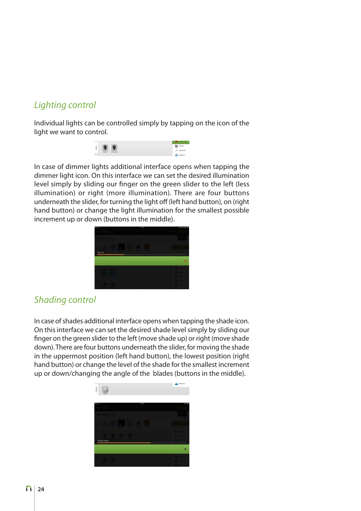## *Lighting control*

Individual lights can be controlled simply by tapping on the icon of the light we want to control.



In case of dimmer lights additional interface opens when tapping the dimmer light icon. On this interface we can set the desired illumination level simply by sliding our finger on the green slider to the left (less illumination) or right (more illumination). There are four buttons underneath the slider, for turning the light off (left hand button), on (right hand button) or change the light illumination for the smallest possible increment up or down (buttons in the middle).



## *Shading control*

In case of shades additional interface opens when tapping the shade icon. On this interface we can set the desired shade level simply by sliding our finger on the green slider to the left (move shade up) or right (move shade down). There are four buttons underneath the slider, for moving the shade in the uppermost position (left hand button), the lowest position (right hand button) or change the level of the shade for the smallest increment up or down/changing the angle of the blades (buttons in the middle).

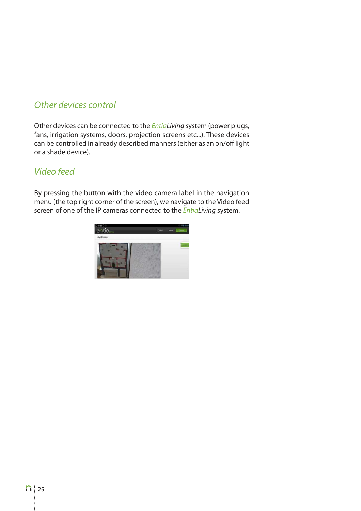### *Other devices control*

Other devices can be connected to the *EntiaLiving* system (power plugs, fans, irrigation systems, doors, projection screens etc...). These devices can be controlled in already described manners (either as an on/off light or a shade device).

#### *Video feed*

By pressing the button with the video camera label in the navigation menu (the top right corner of the screen), we navigate to the Video feed screen of one of the IP cameras connected to the *EntiaLiving* system.

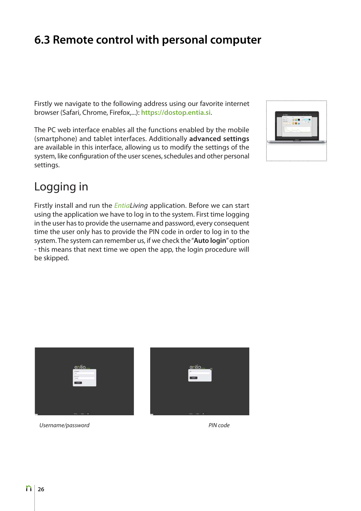# **6.3 Remote control with personal computer**

Firstly we navigate to the following address using our favorite internet browser (Safari, Chrome, Firefox,...): **https://dostop.entia.si**.

The PC web interface enables all the functions enabled by the mobile (smartphone) and tablet interfaces. Additionally **advanced settings** are available in this interface, allowing us to modify the settings of the system, like configuration of the user scenes, schedules and other personal settings.



# Logging in

Firstly install and run the *EntiaLiving* application. Before we can start using the application we have to log in to the system. First time logging in the user has to provide the username and password, every consequent time the user only has to provide the PIN code in order to log in to the system. The system can remember us, if we check the "**Auto login**" option - this means that next time we open the app, the login procedure will be skipped.

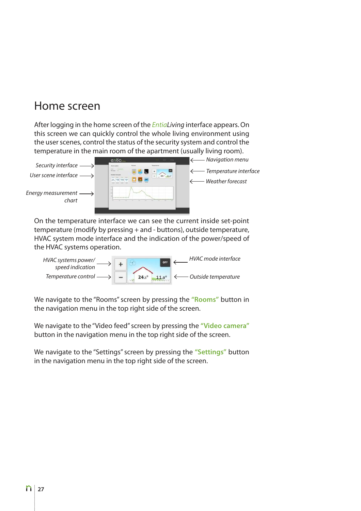## Home screen

After logging in the home screen of the *EntiaLiving* interface appears. On this screen we can quickly control the whole living environment using the user scenes, control the status of the security system and control the temperature in the main room of the apartment (usually living room).



On the temperature interface we can see the current inside set-point temperature (modify by pressing + and - buttons), outside temperature, HVAC system mode interface and the indication of the power/speed of the HVAC systems operation.



We navigate to the "Rooms" screen by pressing the **"Rooms"** button in the navigation menu in the top right side of the screen.

We navigate to the "Video feed" screen by pressing the **"Video camera"** button in the navigation menu in the top right side of the screen.

We navigate to the "Settings" screen by pressing the **"Settings"** button in the navigation menu in the top right side of the screen.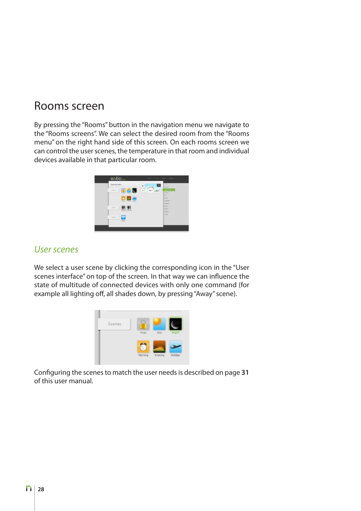## Rooms screen

By pressing the "Rooms" button in the navigation menu we navigate to the "Rooms screens". We can select the desired room from the "Rooms menu" on the right hand side of this screen. On each rooms screen we can control the user scenes, the temperature in that room and individual devices available in that particular room.

| Dunna ado |                             | ×       | E<br><b>Look</b>                                 |  |
|-----------|-----------------------------|---------|--------------------------------------------------|--|
| State     | $\sim$<br>÷                 | $10e^x$ | $- -$<br>$\mu \nu$<br><b>Group</b>               |  |
|           | ۰<br>-<br><b>CARD IN</b>    |         | ALC: Y<br><b>INSIDE</b><br><b>Dealers</b>        |  |
| light.    |                             |         | <b>Support</b><br><b>Council</b><br><b>Great</b> |  |
| Straubach | Lat placer and demands<br>e |         | <b>Latings</b><br><b>Northern</b>                |  |
|           | ₩                           |         |                                                  |  |

#### *User scenes*

We select a user scene by clicking the corresponding icon in the "User scenes interface" on top of the screen. In that way we can influence the state of multitude of connected devices with only one command (for example all lighting off, all shades down, by pressing "Away" scene).



Configuring the scenes to match the user needs is described on page **31** of this user manual.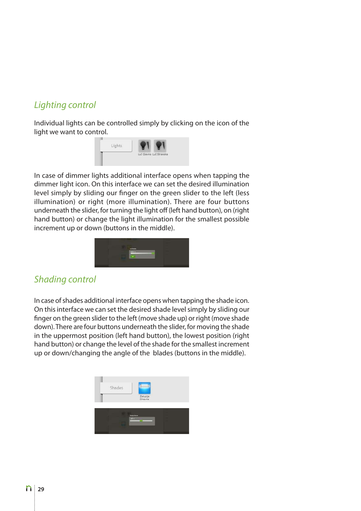## *Lighting control*

Individual lights can be controlled simply by clicking on the icon of the light we want to control.



In case of dimmer lights additional interface opens when tapping the dimmer light icon. On this interface we can set the desired illumination level simply by sliding our finger on the green slider to the left (less illumination) or right (more illumination). There are four buttons underneath the slider, for turning the light off (left hand button), on (right hand button) or change the light illumination for the smallest possible increment up or down (buttons in the middle).



#### *Shading control*

In case of shades additional interface opens when tapping the shade icon. On this interface we can set the desired shade level simply by sliding our finger on the green slider to the left (move shade up) or right (move shade down). There are four buttons underneath the slider, for moving the shade in the uppermost position (left hand button), the lowest position (right hand button) or change the level of the shade for the smallest increment up or down/changing the angle of the blades (buttons in the middle).

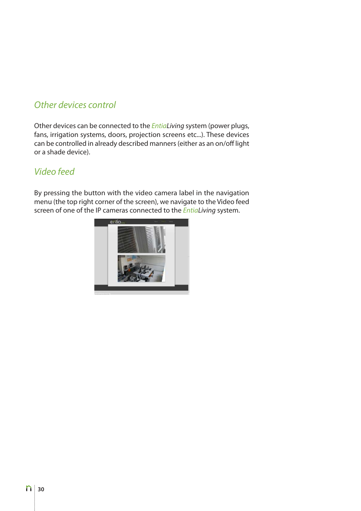### *Other devices control*

Other devices can be connected to the *EntiaLiving* system (power plugs, fans, irrigation systems, doors, projection screens etc...). These devices can be controlled in already described manners (either as an on/off light or a shade device).

#### *Video feed*

By pressing the button with the video camera label in the navigation menu (the top right corner of the screen), we navigate to the Video feed screen of one of the IP cameras connected to the *EntiaLiving* system.

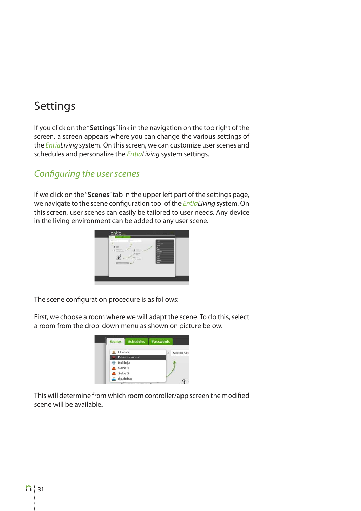# Settings

If you click on the "**Settings**" link in the navigation on the top right of the screen, a screen appears where you can change the various settings of the *EntiaLiving* system. On this screen, we can customize user scenes and schedules and personalize the *EntiaLiving* system settings.

#### *Con*fi*guring the user scenes*

If we click on the "**Scenes**" tab in the upper left part of the settings page, we navigate to the scene configuration tool of the *EntiaLiving* system. On this screen, user scenes can easily be tailored to user needs. Any device in the living environment can be added to any user scene.



The scene configuration procedure is as follows:

First, we choose a room where we will adapt the scene. To do this, select a room from the drop-down menu as shown on picture below.

| <b>Scenes</b> | <b>Schedules</b> | <b>Passwords</b> |            |
|---------------|------------------|------------------|------------|
| Hodnik        |                  | ь                | Select sce |
|               | Dnevna soba      |                  |            |
| Kuhinja       |                  |                  |            |
| Soba 1        |                  |                  |            |
| Soba 2        |                  |                  |            |
|               | Spalnica         |                  |            |

This will determine from which room controller/app screen the modified scene will be available.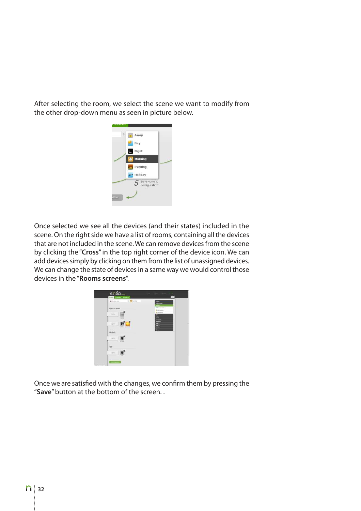After selecting the room, we select the scene we want to modify from the other drop-down menu as seen in picture below.



Once selected we see all the devices (and their states) included in the scene. On the right side we have a list of rooms, containing all the devices that are not included in the scene. We can remove devices from the scene by clicking the "**Cross**" in the top right corner of the device icon. We can add devices simply by clicking on them from the list of unassigned devices. We can change the state of devices in a same way we would control those devices in the "**Rooms screens**".



Once we are satisfied with the changes, we confirm them by pressing the "**Save**" button at the bottom of the screen. .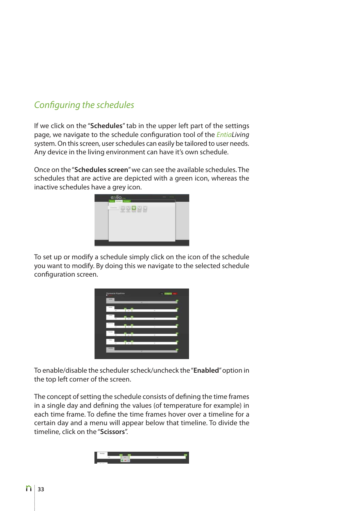## *Con*fi*guring the schedules*

If we click on the "**Schedules**" tab in the upper left part of the settings page, we navigate to the schedule configuration tool of the *EntiaLiving* system. On this screen, user schedules can easily be tailored to user needs. Any device in the living environment can have it's own schedule.

Once on the "**Schedules screen**" we can see the available schedules. The schedules that are active are depicted with a green icon, whereas the inactive schedules have a grey icon.



To set up or modify a schedule simply click on the icon of the schedule you want to modify. By doing this we navigate to the selected schedule configuration screen.

|                             | ÷                        |                |  |
|-----------------------------|--------------------------|----------------|--|
|                             |                          |                |  |
| $\sim$                      | $\overline{\phantom{a}}$ | --             |  |
|                             |                          |                |  |
| $\frac{1}{2}$               | $\sim$                   | $\sim$         |  |
|                             |                          |                |  |
| 18                          | $\sim$                   | $\overline{a}$ |  |
| $-44$                       |                          |                |  |
| w                           | ×                        | $\sim$         |  |
|                             |                          |                |  |
| <b>TIME</b><br>$\mathbf{1}$ | ÷                        | v              |  |
|                             |                          |                |  |
| <b>Langeland</b>            | ٠                        |                |  |

To enable/disable the scheduler scheck/uncheck the "**Enabled**" option in the top left corner of the screen.

The concept of setting the schedule consists of defining the time frames in a single day and defining the values (of temperature for example) in each time frame. To define the time frames hover over a timeline for a certain day and a menu will appear below that timeline. To divide the timeline, click on the "**Scissors**".

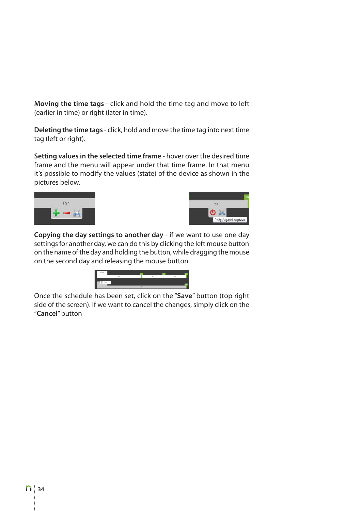**Moving the time tags** - click and hold the time tag and move to left (earlier in time) or right (later in time).

**Deleting the time tags** - click, hold and move the time tag into next time tag (left or right).

**Setting values in the selected time frame** - hover over the desired time frame and the menu will appear under that time frame. In that menu it's possible to modify the values (state) of the device as shown in the pictures below.





**Copying the day settings to another day** - if we want to use one day settings for another day, we can do this by clicking the left mouse button on the name of the day and holding the button, while dragging the mouse on the second day and releasing the mouse button



Once the schedule has been set, click on the "**Save**" button (top right side of the screen). If we want to cancel the changes, simply click on the "**Cancel**" button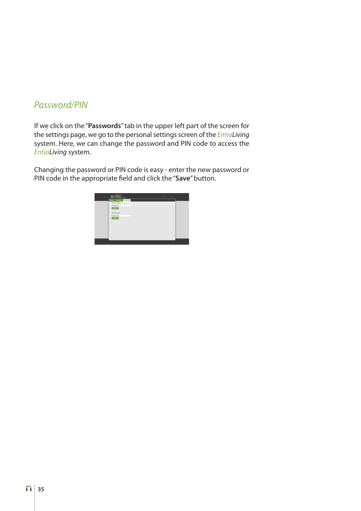#### *Password/PIN*

If we click on the "**Passwords**" tab in the upper left part of the screen for the settings page, we go to the personal settings screen of the *EntiaLiving* system. Here, we can change the password and PIN code to access the *EntiaLiving* system.

Changing the password or PIN code is easy - enter the new password or PIN code in the appropriate field and click the "**Save**" button.